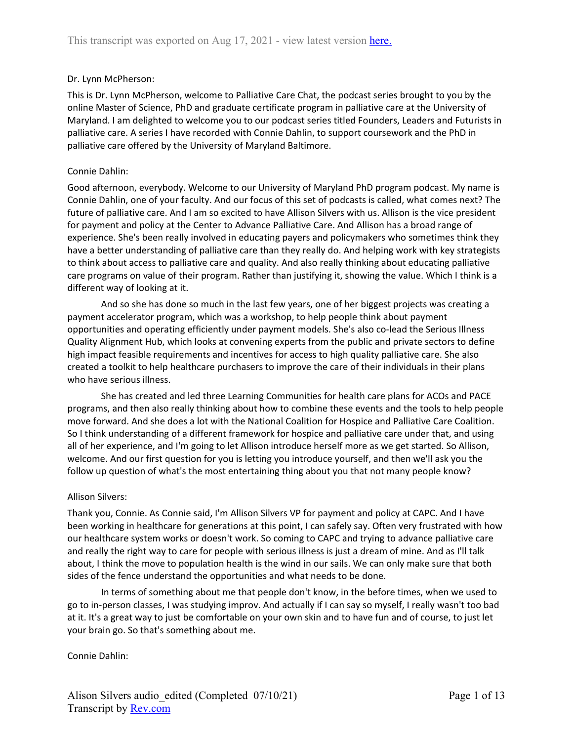## Dr. Lynn McPherson:

This is Dr. Lynn McPherson, welcome to Palliative Care Chat, the podcast series brought to you by the online Master of Science, PhD and graduate certificate program in palliative care at the University of Maryland. I am delighted to welcome you to our podcast series titled Founders, Leaders and Futurists in palliative care. A series I have recorded with Connie Dahlin, to support coursework and the PhD in palliative care offered by the University of Maryland Baltimore.

## Connie Dahlin:

Good afternoon, everybody. Welcome to our University of Maryland PhD program podcast. My name is Connie Dahlin, one of your faculty. And our focus of this set of podcasts is called, what comes next? The future of palliative care. And I am so excited to have Allison Silvers with us. Allison is the vice president for payment and policy at the Center to Advance Palliative Care. And Allison has a broad range of experience. She's been really involved in educating payers and policymakers who sometimes think they have a better understanding of palliative care than they really do. And helping work with key strategists to think about access to palliative care and quality. And also really thinking about educating palliative care programs on value of their program. Rather than justifying it, showing the value. Which I think is a different way of looking at it.

And so she has done so much in the last few years, one of her biggest projects was creating a payment accelerator program, which was a workshop, to help people think about payment opportunities and operating efficiently under payment models. She's also co-lead the Serious Illness Quality Alignment Hub, which looks at convening experts from the public and private sectors to define high impact feasible requirements and incentives for access to high quality palliative care. She also created a toolkit to help healthcare purchasers to improve the care of their individuals in their plans who have serious illness.

She has created and led three Learning Communities for health care plans for ACOs and PACE programs, and then also really thinking about how to combine these events and the tools to help people move forward. And she does a lot with the National Coalition for Hospice and Palliative Care Coalition. So I think understanding of a different framework for hospice and palliative care under that, and using all of her experience, and I'm going to let Allison introduce herself more as we get started. So Allison, welcome. And our first question for you is letting you introduce yourself, and then we'll ask you the follow up question of what's the most entertaining thing about you that not many people know?

## Allison Silvers:

Thank you, Connie. As Connie said, I'm Allison Silvers VP for payment and policy at CAPC. And I have been working in healthcare for generations at this point, I can safely say. Often very frustrated with how our healthcare system works or doesn't work. So coming to CAPC and trying to advance palliative care and really the right way to care for people with serious illness is just a dream of mine. And as I'll talk about, I think the move to population health is the wind in our sails. We can only make sure that both sides of the fence understand the opportunities and what needs to be done.

In terms of something about me that people don't know, in the before times, when we used to go to in-person classes, I was studying improv. And actually if I can say so myself, I really wasn't too bad at it. It's a great way to just be comfortable on your own skin and to have fun and of course, to just let your brain go. So that's something about me.

Connie Dahlin: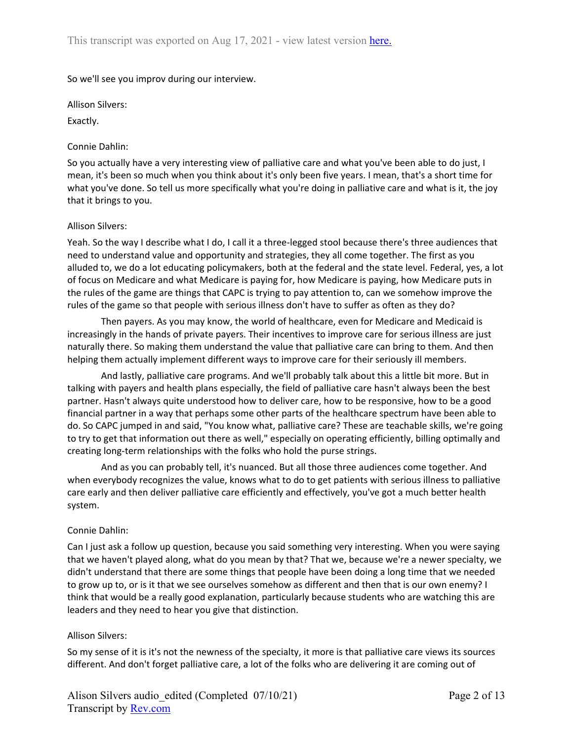## So we'll see you improv during our interview.

Allison Silvers:

Exactly.

## Connie Dahlin:

So you actually have a very interesting view of palliative care and what you've been able to do just, I mean, it's been so much when you think about it's only been five years. I mean, that's a short time for what you've done. So tell us more specifically what you're doing in palliative care and what is it, the joy that it brings to you.

## Allison Silvers:

Yeah. So the way I describe what I do, I call it a three-legged stool because there's three audiences that need to understand value and opportunity and strategies, they all come together. The first as you alluded to, we do a lot educating policymakers, both at the federal and the state level. Federal, yes, a lot of focus on Medicare and what Medicare is paying for, how Medicare is paying, how Medicare puts in the rules of the game are things that CAPC is trying to pay attention to, can we somehow improve the rules of the game so that people with serious illness don't have to suffer as often as they do?

Then payers. As you may know, the world of healthcare, even for Medicare and Medicaid is increasingly in the hands of private payers. Their incentives to improve care for serious illness are just naturally there. So making them understand the value that palliative care can bring to them. And then helping them actually implement different ways to improve care for their seriously ill members.

And lastly, palliative care programs. And we'll probably talk about this a little bit more. But in talking with payers and health plans especially, the field of palliative care hasn't always been the best partner. Hasn't always quite understood how to deliver care, how to be responsive, how to be a good financial partner in a way that perhaps some other parts of the healthcare spectrum have been able to do. So CAPC jumped in and said, "You know what, palliative care? These are teachable skills, we're going to try to get that information out there as well," especially on operating efficiently, billing optimally and creating long-term relationships with the folks who hold the purse strings.

And as you can probably tell, it's nuanced. But all those three audiences come together. And when everybody recognizes the value, knows what to do to get patients with serious illness to palliative care early and then deliver palliative care efficiently and effectively, you've got a much better health system.

# Connie Dahlin:

Can I just ask a follow up question, because you said something very interesting. When you were saying that we haven't played along, what do you mean by that? That we, because we're a newer specialty, we didn't understand that there are some things that people have been doing a long time that we needed to grow up to, or is it that we see ourselves somehow as different and then that is our own enemy? I think that would be a really good explanation, particularly because students who are watching this are leaders and they need to hear you give that distinction.

## Allison Silvers:

So my sense of it is it's not the newness of the specialty, it more is that palliative care views its sources different. And don't forget palliative care, a lot of the folks who are delivering it are coming out of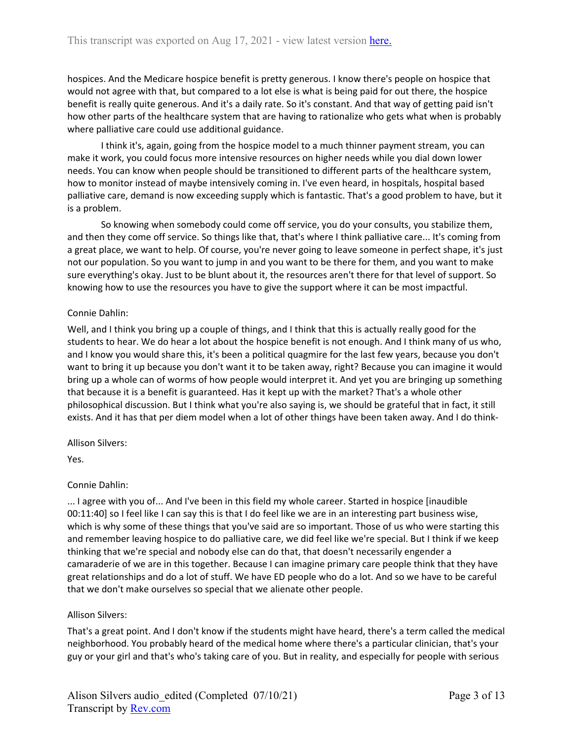hospices. And the Medicare hospice benefit is pretty generous. I know there's people on hospice that would not agree with that, but compared to a lot else is what is being paid for out there, the hospice benefit is really quite generous. And it's a daily rate. So it's constant. And that way of getting paid isn't how other parts of the healthcare system that are having to rationalize who gets what when is probably where palliative care could use additional guidance.

I think it's, again, going from the hospice model to a much thinner payment stream, you can make it work, you could focus more intensive resources on higher needs while you dial down lower needs. You can know when people should be transitioned to different parts of the healthcare system, how to monitor instead of maybe intensively coming in. I've even heard, in hospitals, hospital based palliative care, demand is now exceeding supply which is fantastic. That's a good problem to have, but it is a problem.

So knowing when somebody could come off service, you do your consults, you stabilize them, and then they come off service. So things like that, that's where I think palliative care... It's coming from a great place, we want to help. Of course, you're never going to leave someone in perfect shape, it's just not our population. So you want to jump in and you want to be there for them, and you want to make sure everything's okay. Just to be blunt about it, the resources aren't there for that level of support. So knowing how to use the resources you have to give the support where it can be most impactful.

## Connie Dahlin:

Well, and I think you bring up a couple of things, and I think that this is actually really good for the students to hear. We do hear a lot about the hospice benefit is not enough. And I think many of us who, and I know you would share this, it's been a political quagmire for the last few years, because you don't want to bring it up because you don't want it to be taken away, right? Because you can imagine it would bring up a whole can of worms of how people would interpret it. And yet you are bringing up something that because it is a benefit is guaranteed. Has it kept up with the market? That's a whole other philosophical discussion. But I think what you're also saying is, we should be grateful that in fact, it still exists. And it has that per diem model when a lot of other things have been taken away. And I do think-

Allison Silvers:

Yes.

# Connie Dahlin:

... I agree with you of... And I've been in this field my whole career. Started in hospice [inaudible 00:11:40] so I feel like I can say this is that I do feel like we are in an interesting part business wise, which is why some of these things that you've said are so important. Those of us who were starting this and remember leaving hospice to do palliative care, we did feel like we're special. But I think if we keep thinking that we're special and nobody else can do that, that doesn't necessarily engender a camaraderie of we are in this together. Because I can imagine primary care people think that they have great relationships and do a lot of stuff. We have ED people who do a lot. And so we have to be careful that we don't make ourselves so special that we alienate other people.

## Allison Silvers:

That's a great point. And I don't know if the students might have heard, there's a term called the medical neighborhood. You probably heard of the medical home where there's a particular clinician, that's your guy or your girl and that's who's taking care of you. But in reality, and especially for people with serious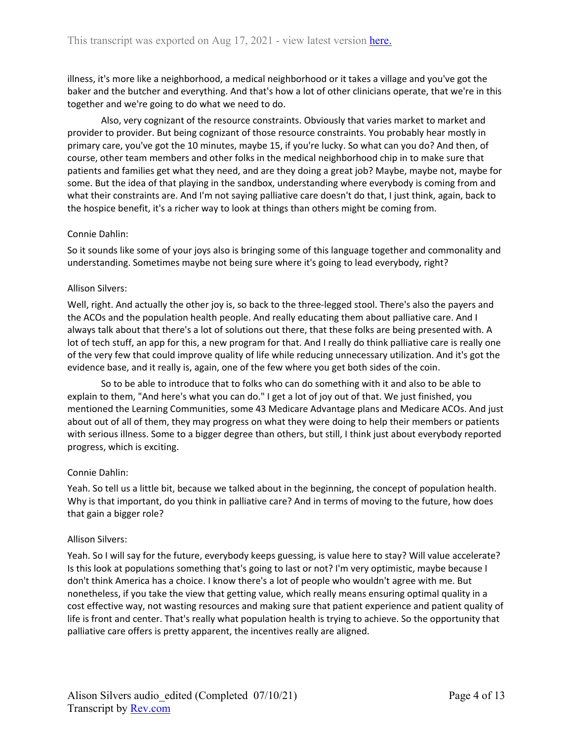illness, it's more like a neighborhood, a medical neighborhood or it takes a village and you've got the baker and the butcher and everything. And that's how a lot of other clinicians operate, that we're in this together and we're going to do what we need to do.

Also, very cognizant of the resource constraints. Obviously that varies market to market and provider to provider. But being cognizant of those resource constraints. You probably hear mostly in primary care, you've got the 10 minutes, maybe 15, if you're lucky. So what can you do? And then, of course, other team members and other folks in the medical neighborhood chip in to make sure that patients and families get what they need, and are they doing a great job? Maybe, maybe not, maybe for some. But the idea of that playing in the sandbox, understanding where everybody is coming from and what their constraints are. And I'm not saying palliative care doesn't do that, I just think, again, back to the hospice benefit, it's a richer way to look at things than others might be coming from.

## Connie Dahlin:

So it sounds like some of your joys also is bringing some of this language together and commonality and understanding. Sometimes maybe not being sure where it's going to lead everybody, right?

## Allison Silvers:

Well, right. And actually the other joy is, so back to the three-legged stool. There's also the payers and the ACOs and the population health people. And really educating them about palliative care. And I always talk about that there's a lot of solutions out there, that these folks are being presented with. A lot of tech stuff, an app for this, a new program for that. And I really do think palliative care is really one of the very few that could improve quality of life while reducing unnecessary utilization. And it's got the evidence base, and it really is, again, one of the few where you get both sides of the coin.

So to be able to introduce that to folks who can do something with it and also to be able to explain to them, "And here's what you can do." I get a lot of joy out of that. We just finished, you mentioned the Learning Communities, some 43 Medicare Advantage plans and Medicare ACOs. And just about out of all of them, they may progress on what they were doing to help their members or patients with serious illness. Some to a bigger degree than others, but still, I think just about everybody reported progress, which is exciting.

# Connie Dahlin:

Yeah. So tell us a little bit, because we talked about in the beginning, the concept of population health. Why is that important, do you think in palliative care? And in terms of moving to the future, how does that gain a bigger role?

## Allison Silvers:

Yeah. So I will say for the future, everybody keeps guessing, is value here to stay? Will value accelerate? Is this look at populations something that's going to last or not? I'm very optimistic, maybe because I don't think America has a choice. I know there's a lot of people who wouldn't agree with me. But nonetheless, if you take the view that getting value, which really means ensuring optimal quality in a cost effective way, not wasting resources and making sure that patient experience and patient quality of life is front and center. That's really what population health is trying to achieve. So the opportunity that palliative care offers is pretty apparent, the incentives really are aligned.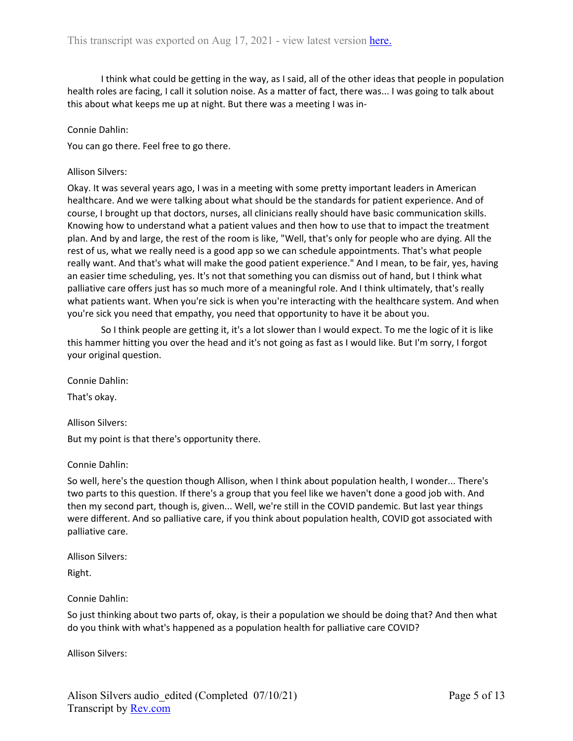I think what could be getting in the way, as I said, all of the other ideas that people in population health roles are facing, I call it solution noise. As a matter of fact, there was... I was going to talk about this about what keeps me up at night. But there was a meeting I was in-

## Connie Dahlin:

You can go there. Feel free to go there.

#### Allison Silvers:

Okay. It was several years ago, I was in a meeting with some pretty important leaders in American healthcare. And we were talking about what should be the standards for patient experience. And of course, I brought up that doctors, nurses, all clinicians really should have basic communication skills. Knowing how to understand what a patient values and then how to use that to impact the treatment plan. And by and large, the rest of the room is like, "Well, that's only for people who are dying. All the rest of us, what we really need is a good app so we can schedule appointments. That's what people really want. And that's what will make the good patient experience." And I mean, to be fair, yes, having an easier time scheduling, yes. It's not that something you can dismiss out of hand, but I think what palliative care offers just has so much more of a meaningful role. And I think ultimately, that's really what patients want. When you're sick is when you're interacting with the healthcare system. And when you're sick you need that empathy, you need that opportunity to have it be about you.

So I think people are getting it, it's a lot slower than I would expect. To me the logic of it is like this hammer hitting you over the head and it's not going as fast as I would like. But I'm sorry, I forgot your original question.

Connie Dahlin:

That's okay.

Allison Silvers:

But my point is that there's opportunity there.

Connie Dahlin:

So well, here's the question though Allison, when I think about population health, I wonder... There's two parts to this question. If there's a group that you feel like we haven't done a good job with. And then my second part, though is, given... Well, we're still in the COVID pandemic. But last year things were different. And so palliative care, if you think about population health, COVID got associated with palliative care.

Allison Silvers:

Right.

Connie Dahlin:

So just thinking about two parts of, okay, is their a population we should be doing that? And then what do you think with what's happened as a population health for palliative care COVID?

Allison Silvers: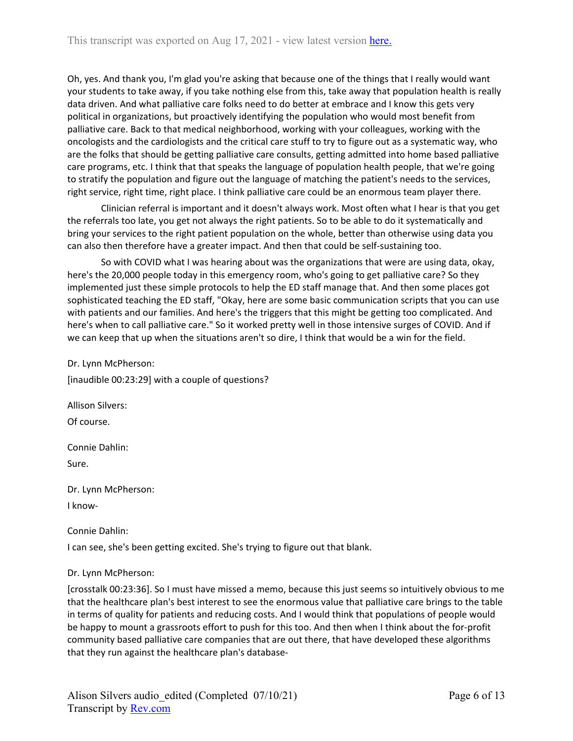Oh, yes. And thank you, I'm glad you're asking that because one of the things that I really would want your students to take away, if you take nothing else from this, take away that population health is really data driven. And what palliative care folks need to do better at embrace and I know this gets very political in organizations, but proactively identifying the population who would most benefit from palliative care. Back to that medical neighborhood, working with your colleagues, working with the oncologists and the cardiologists and the critical care stuff to try to figure out as a systematic way, who are the folks that should be getting palliative care consults, getting admitted into home based palliative care programs, etc. I think that that speaks the language of population health people, that we're going to stratify the population and figure out the language of matching the patient's needs to the services, right service, right time, right place. I think palliative care could be an enormous team player there.

Clinician referral is important and it doesn't always work. Most often what I hear is that you get the referrals too late, you get not always the right patients. So to be able to do it systematically and bring your services to the right patient population on the whole, better than otherwise using data you can also then therefore have a greater impact. And then that could be self-sustaining too.

So with COVID what I was hearing about was the organizations that were are using data, okay, here's the 20,000 people today in this emergency room, who's going to get palliative care? So they implemented just these simple protocols to help the ED staff manage that. And then some places got sophisticated teaching the ED staff, "Okay, here are some basic communication scripts that you can use with patients and our families. And here's the triggers that this might be getting too complicated. And here's when to call palliative care." So it worked pretty well in those intensive surges of COVID. And if we can keep that up when the situations aren't so dire, I think that would be a win for the field.

Dr. Lynn McPherson:

[inaudible 00:23:29] with a couple of questions?

Allison Silvers:

Of course.

Connie Dahlin:

Sure.

Dr. Lynn McPherson: I know-

Connie Dahlin:

I can see, she's been getting excited. She's trying to figure out that blank.

# Dr. Lynn McPherson:

[crosstalk 00:23:36]. So I must have missed a memo, because this just seems so intuitively obvious to me that the healthcare plan's best interest to see the enormous value that palliative care brings to the table in terms of quality for patients and reducing costs. And I would think that populations of people would be happy to mount a grassroots effort to push for this too. And then when I think about the for-profit community based palliative care companies that are out there, that have developed these algorithms that they run against the healthcare plan's database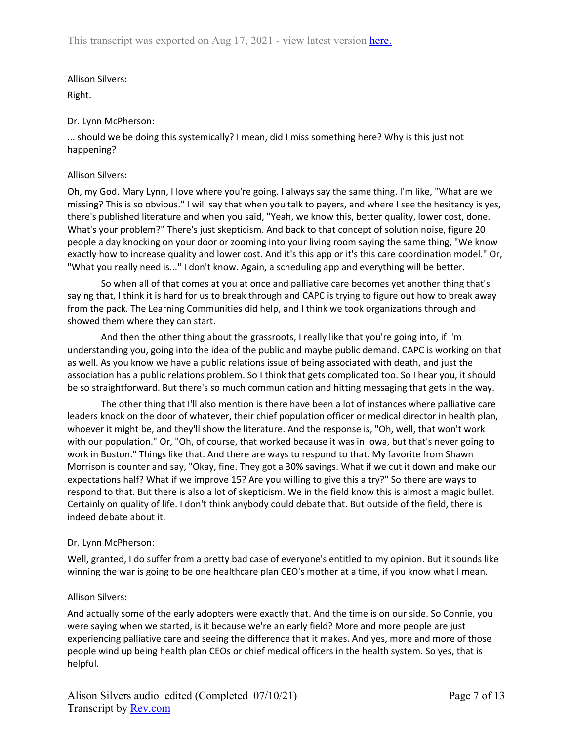Allison Silvers:

Right.

# Dr. Lynn McPherson:

... should we be doing this systemically? I mean, did I miss something here? Why is this just not happening?

# Allison Silvers:

Oh, my God. Mary Lynn, I love where you're going. I always say the same thing. I'm like, "What are we missing? This is so obvious." I will say that when you talk to payers, and where I see the hesitancy is yes, there's published literature and when you said, "Yeah, we know this, better quality, lower cost, done. What's your problem?" There's just skepticism. And back to that concept of solution noise, figure 20 people a day knocking on your door or zooming into your living room saying the same thing, "We know exactly how to increase quality and lower cost. And it's this app or it's this care coordination model." Or, "What you really need is..." I don't know. Again, a scheduling app and everything will be better.

So when all of that comes at you at once and palliative care becomes yet another thing that's saying that, I think it is hard for us to break through and CAPC is trying to figure out how to break away from the pack. The Learning Communities did help, and I think we took organizations through and showed them where they can start.

And then the other thing about the grassroots, I really like that you're going into, if I'm understanding you, going into the idea of the public and maybe public demand. CAPC is working on that as well. As you know we have a public relations issue of being associated with death, and just the association has a public relations problem. So I think that gets complicated too. So I hear you, it should be so straightforward. But there's so much communication and hitting messaging that gets in the way.

The other thing that I'll also mention is there have been a lot of instances where palliative care leaders knock on the door of whatever, their chief population officer or medical director in health plan, whoever it might be, and they'll show the literature. And the response is, "Oh, well, that won't work with our population." Or, "Oh, of course, that worked because it was in Iowa, but that's never going to work in Boston." Things like that. And there are ways to respond to that. My favorite from Shawn Morrison is counter and say, "Okay, fine. They got a 30% savings. What if we cut it down and make our expectations half? What if we improve 15? Are you willing to give this a try?" So there are ways to respond to that. But there is also a lot of skepticism. We in the field know this is almost a magic bullet. Certainly on quality of life. I don't think anybody could debate that. But outside of the field, there is indeed debate about it.

# Dr. Lynn McPherson:

Well, granted, I do suffer from a pretty bad case of everyone's entitled to my opinion. But it sounds like winning the war is going to be one healthcare plan CEO's mother at a time, if you know what I mean.

# Allison Silvers:

And actually some of the early adopters were exactly that. And the time is on our side. So Connie, you were saying when we started, is it because we're an early field? More and more people are just experiencing palliative care and seeing the difference that it makes. And yes, more and more of those people wind up being health plan CEOs or chief medical officers in the health system. So yes, that is helpful.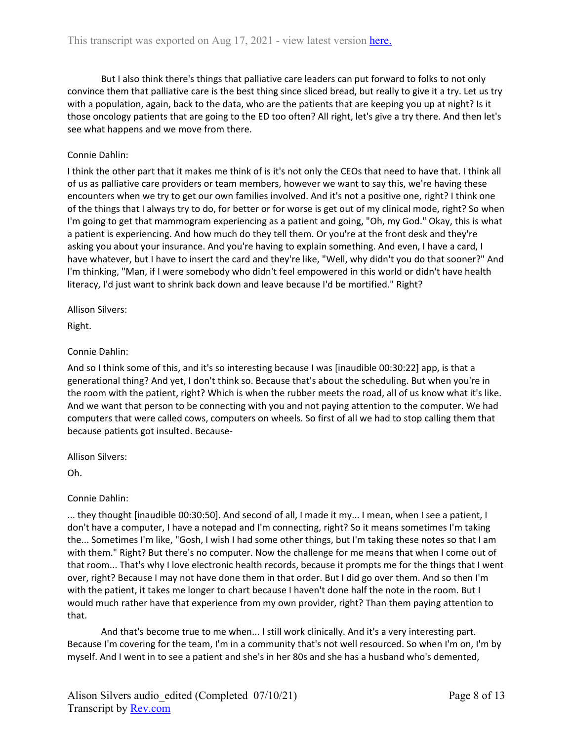But I also think there's things that palliative care leaders can put forward to folks to not only convince them that palliative care is the best thing since sliced bread, but really to give it a try. Let us try with a population, again, back to the data, who are the patients that are keeping you up at night? Is it those oncology patients that are going to the ED too often? All right, let's give a try there. And then let's see what happens and we move from there.

## Connie Dahlin:

I think the other part that it makes me think of is it's not only the CEOs that need to have that. I think all of us as palliative care providers or team members, however we want to say this, we're having these encounters when we try to get our own families involved. And it's not a positive one, right? I think one of the things that I always try to do, for better or for worse is get out of my clinical mode, right? So when I'm going to get that mammogram experiencing as a patient and going, "Oh, my God." Okay, this is what a patient is experiencing. And how much do they tell them. Or you're at the front desk and they're asking you about your insurance. And you're having to explain something. And even, I have a card, I have whatever, but I have to insert the card and they're like, "Well, why didn't you do that sooner?" And I'm thinking, "Man, if I were somebody who didn't feel empowered in this world or didn't have health literacy, I'd just want to shrink back down and leave because I'd be mortified." Right?

Allison Silvers:

Right.

## Connie Dahlin:

And so I think some of this, and it's so interesting because I was [inaudible 00:30:22] app, is that a generational thing? And yet, I don't think so. Because that's about the scheduling. But when you're in the room with the patient, right? Which is when the rubber meets the road, all of us know what it's like. And we want that person to be connecting with you and not paying attention to the computer. We had computers that were called cows, computers on wheels. So first of all we had to stop calling them that because patients got insulted. Because-

Allison Silvers:

Oh.

## Connie Dahlin:

... they thought [inaudible 00:30:50]. And second of all, I made it my... I mean, when I see a patient, I don't have a computer, I have a notepad and I'm connecting, right? So it means sometimes I'm taking the... Sometimes I'm like, "Gosh, I wish I had some other things, but I'm taking these notes so that I am with them." Right? But there's no computer. Now the challenge for me means that when I come out of that room... That's why I love electronic health records, because it prompts me for the things that I went over, right? Because I may not have done them in that order. But I did go over them. And so then I'm with the patient, it takes me longer to chart because I haven't done half the note in the room. But I would much rather have that experience from my own provider, right? Than them paying attention to that.

And that's become true to me when... I still work clinically. And it's a very interesting part. Because I'm covering for the team, I'm in a community that's not well resourced. So when I'm on, I'm by myself. And I went in to see a patient and she's in her 80s and she has a husband who's demented,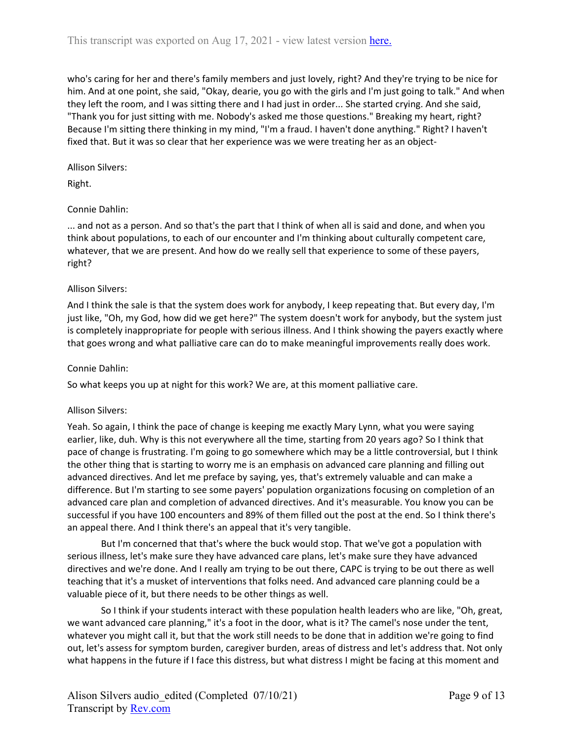who's caring for her and there's family members and just lovely, right? And they're trying to be nice for him. And at one point, she said, "Okay, dearie, you go with the girls and I'm just going to talk." And when they left the room, and I was sitting there and I had just in order... She started crying. And she said, "Thank you for just sitting with me. Nobody's asked me those questions." Breaking my heart, right? Because I'm sitting there thinking in my mind, "I'm a fraud. I haven't done anything." Right? I haven't fixed that. But it was so clear that her experience was we were treating her as an object-

## Allison Silvers:

Right.

# Connie Dahlin:

... and not as a person. And so that's the part that I think of when all is said and done, and when you think about populations, to each of our encounter and I'm thinking about culturally competent care, whatever, that we are present. And how do we really sell that experience to some of these payers, right?

# Allison Silvers:

And I think the sale is that the system does work for anybody, I keep repeating that. But every day, I'm just like, "Oh, my God, how did we get here?" The system doesn't work for anybody, but the system just is completely inappropriate for people with serious illness. And I think showing the payers exactly where that goes wrong and what palliative care can do to make meaningful improvements really does work.

## Connie Dahlin:

So what keeps you up at night for this work? We are, at this moment palliative care.

# Allison Silvers:

Yeah. So again, I think the pace of change is keeping me exactly Mary Lynn, what you were saying earlier, like, duh. Why is this not everywhere all the time, starting from 20 years ago? So I think that pace of change is frustrating. I'm going to go somewhere which may be a little controversial, but I think the other thing that is starting to worry me is an emphasis on advanced care planning and filling out advanced directives. And let me preface by saying, yes, that's extremely valuable and can make a difference. But I'm starting to see some payers' population organizations focusing on completion of an advanced care plan and completion of advanced directives. And it's measurable. You know you can be successful if you have 100 encounters and 89% of them filled out the post at the end. So I think there's an appeal there. And I think there's an appeal that it's very tangible.

But I'm concerned that that's where the buck would stop. That we've got a population with serious illness, let's make sure they have advanced care plans, let's make sure they have advanced directives and we're done. And I really am trying to be out there, CAPC is trying to be out there as well teaching that it's a musket of interventions that folks need. And advanced care planning could be a valuable piece of it, but there needs to be other things as well.

So I think if your students interact with these population health leaders who are like, "Oh, great, we want advanced care planning," it's a foot in the door, what is it? The camel's nose under the tent, whatever you might call it, but that the work still needs to be done that in addition we're going to find out, let's assess for symptom burden, caregiver burden, areas of distress and let's address that. Not only what happens in the future if I face this distress, but what distress I might be facing at this moment and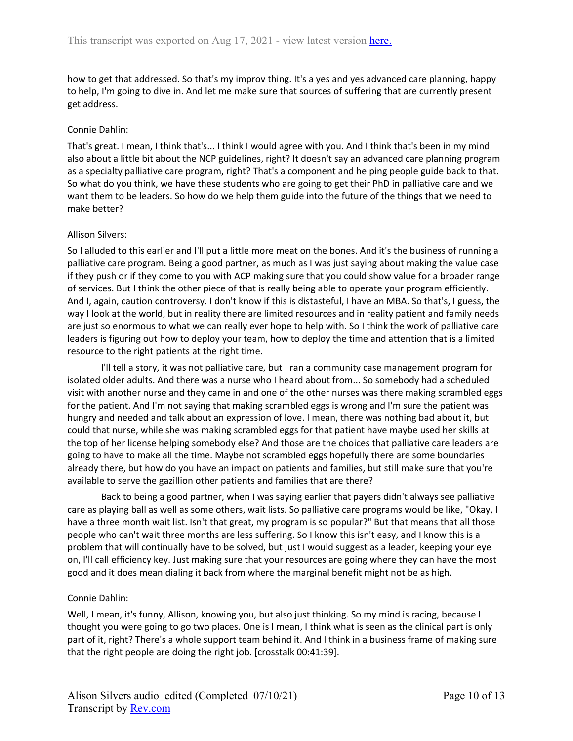how to get that addressed. So that's my improv thing. It's a yes and yes advanced care planning, happy to help, I'm going to dive in. And let me make sure that sources of suffering that are currently present get address.

## Connie Dahlin:

That's great. I mean, I think that's... I think I would agree with you. And I think that's been in my mind also about a little bit about the NCP guidelines, right? It doesn't say an advanced care planning program as a specialty palliative care program, right? That's a component and helping people guide back to that. So what do you think, we have these students who are going to get their PhD in palliative care and we want them to be leaders. So how do we help them guide into the future of the things that we need to make better?

## Allison Silvers:

So I alluded to this earlier and I'll put a little more meat on the bones. And it's the business of running a palliative care program. Being a good partner, as much as I was just saying about making the value case if they push or if they come to you with ACP making sure that you could show value for a broader range of services. But I think the other piece of that is really being able to operate your program efficiently. And I, again, caution controversy. I don't know if this is distasteful, I have an MBA. So that's, I guess, the way I look at the world, but in reality there are limited resources and in reality patient and family needs are just so enormous to what we can really ever hope to help with. So I think the work of palliative care leaders is figuring out how to deploy your team, how to deploy the time and attention that is a limited resource to the right patients at the right time.

I'll tell a story, it was not palliative care, but I ran a community case management program for isolated older adults. And there was a nurse who I heard about from... So somebody had a scheduled visit with another nurse and they came in and one of the other nurses was there making scrambled eggs for the patient. And I'm not saying that making scrambled eggs is wrong and I'm sure the patient was hungry and needed and talk about an expression of love. I mean, there was nothing bad about it, but could that nurse, while she was making scrambled eggs for that patient have maybe used her skills at the top of her license helping somebody else? And those are the choices that palliative care leaders are going to have to make all the time. Maybe not scrambled eggs hopefully there are some boundaries already there, but how do you have an impact on patients and families, but still make sure that you're available to serve the gazillion other patients and families that are there?

Back to being a good partner, when I was saying earlier that payers didn't always see palliative care as playing ball as well as some others, wait lists. So palliative care programs would be like, "Okay, I have a three month wait list. Isn't that great, my program is so popular?" But that means that all those people who can't wait three months are less suffering. So I know this isn't easy, and I know this is a problem that will continually have to be solved, but just I would suggest as a leader, keeping your eye on, I'll call efficiency key. Just making sure that your resources are going where they can have the most good and it does mean dialing it back from where the marginal benefit might not be as high.

## Connie Dahlin:

Well, I mean, it's funny, Allison, knowing you, but also just thinking. So my mind is racing, because I thought you were going to go two places. One is I mean, I think what is seen as the clinical part is only part of it, right? There's a whole support team behind it. And I think in a business frame of making sure that the right people are doing the right job. [crosstalk 00:41:39].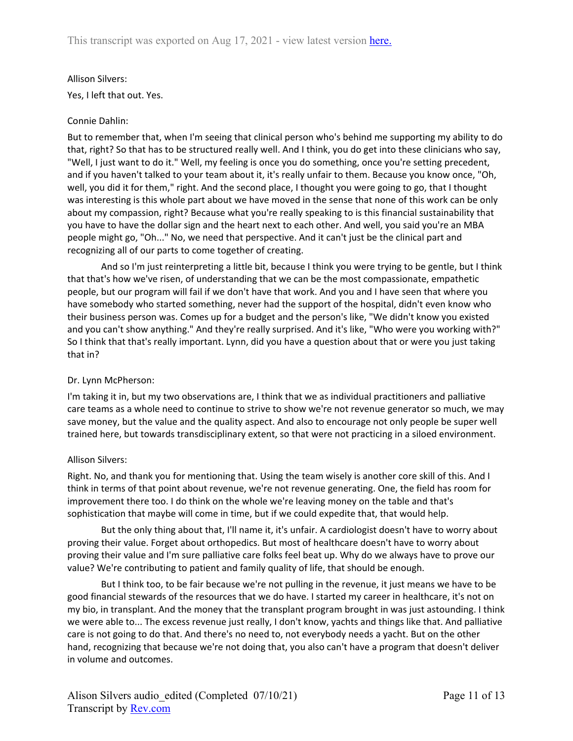## Allison Silvers:

Yes, I left that out. Yes.

## Connie Dahlin:

But to remember that, when I'm seeing that clinical person who's behind me supporting my ability to do that, right? So that has to be structured really well. And I think, you do get into these clinicians who say, "Well, I just want to do it." Well, my feeling is once you do something, once you're setting precedent, and if you haven't talked to your team about it, it's really unfair to them. Because you know once, "Oh, well, you did it for them," right. And the second place, I thought you were going to go, that I thought was interesting is this whole part about we have moved in the sense that none of this work can be only about my compassion, right? Because what you're really speaking to is this financial sustainability that you have to have the dollar sign and the heart next to each other. And well, you said you're an MBA people might go, "Oh..." No, we need that perspective. And it can't just be the clinical part and recognizing all of our parts to come together of creating.

And so I'm just reinterpreting a little bit, because I think you were trying to be gentle, but I think that that's how we've risen, of understanding that we can be the most compassionate, empathetic people, but our program will fail if we don't have that work. And you and I have seen that where you have somebody who started something, never had the support of the hospital, didn't even know who their business person was. Comes up for a budget and the person's like, "We didn't know you existed and you can't show anything." And they're really surprised. And it's like, "Who were you working with?" So I think that that's really important. Lynn, did you have a question about that or were you just taking that in?

# Dr. Lynn McPherson:

I'm taking it in, but my two observations are, I think that we as individual practitioners and palliative care teams as a whole need to continue to strive to show we're not revenue generator so much, we may save money, but the value and the quality aspect. And also to encourage not only people be super well trained here, but towards transdisciplinary extent, so that were not practicing in a siloed environment.

## Allison Silvers:

Right. No, and thank you for mentioning that. Using the team wisely is another core skill of this. And I think in terms of that point about revenue, we're not revenue generating. One, the field has room for improvement there too. I do think on the whole we're leaving money on the table and that's sophistication that maybe will come in time, but if we could expedite that, that would help.

But the only thing about that, I'll name it, it's unfair. A cardiologist doesn't have to worry about proving their value. Forget about orthopedics. But most of healthcare doesn't have to worry about proving their value and I'm sure palliative care folks feel beat up. Why do we always have to prove our value? We're contributing to patient and family quality of life, that should be enough.

But I think too, to be fair because we're not pulling in the revenue, it just means we have to be good financial stewards of the resources that we do have. I started my career in healthcare, it's not on my bio, in transplant. And the money that the transplant program brought in was just astounding. I think we were able to... The excess revenue just really, I don't know, yachts and things like that. And palliative care is not going to do that. And there's no need to, not everybody needs a yacht. But on the other hand, recognizing that because we're not doing that, you also can't have a program that doesn't deliver in volume and outcomes.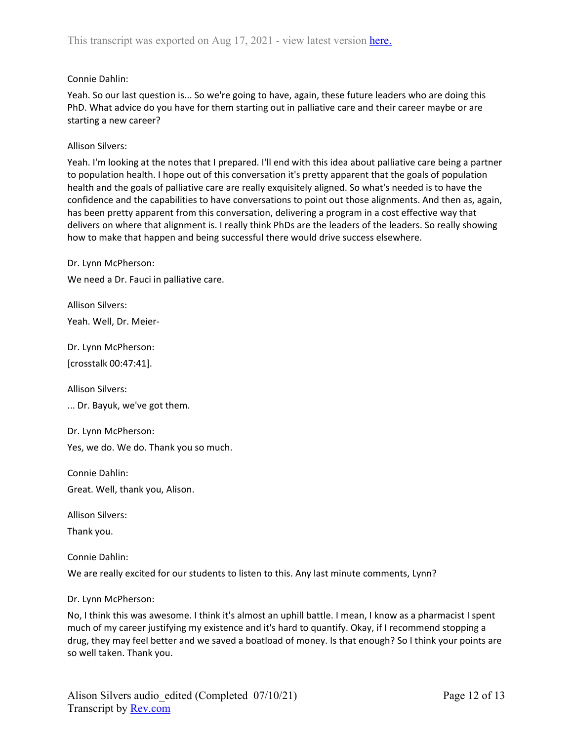## Connie Dahlin:

Yeah. So our last question is... So we're going to have, again, these future leaders who are doing this PhD. What advice do you have for them starting out in palliative care and their career maybe or are starting a new career?

## Allison Silvers:

Yeah. I'm looking at the notes that I prepared. I'll end with this idea about palliative care being a partner to population health. I hope out of this conversation it's pretty apparent that the goals of population health and the goals of palliative care are really exquisitely aligned. So what's needed is to have the confidence and the capabilities to have conversations to point out those alignments. And then as, again, has been pretty apparent from this conversation, delivering a program in a cost effective way that delivers on where that alignment is. I really think PhDs are the leaders of the leaders. So really showing how to make that happen and being successful there would drive success elsewhere.

Dr. Lynn McPherson: We need a Dr. Fauci in palliative care.

Allison Silvers: Yeah. Well, Dr. Meier-

Dr. Lynn McPherson: [crosstalk 00:47:41].

Allison Silvers:

... Dr. Bayuk, we've got them.

Dr. Lynn McPherson:

Yes, we do. We do. Thank you so much.

Connie Dahlin:

Great. Well, thank you, Alison.

Allison Silvers:

Thank you.

Connie Dahlin:

We are really excited for our students to listen to this. Any last minute comments, Lynn?

Dr. Lynn McPherson:

No, I think this was awesome. I think it's almost an uphill battle. I mean, I know as a pharmacist I spent much of my career justifying my existence and it's hard to quantify. Okay, if I recommend stopping a drug, they may feel better and we saved a boatload of money. Is that enough? So I think your points are so well taken. Thank you.